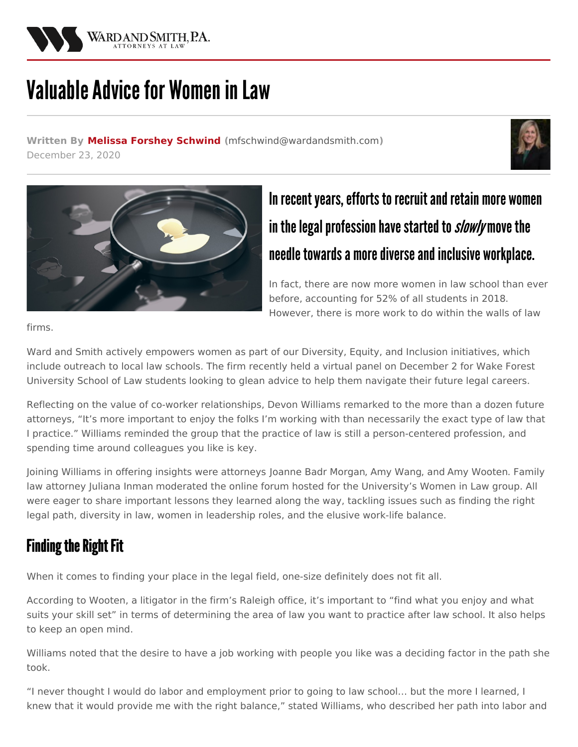

# Valuable Advice for Women in Law

**Written By Melissa Forshey [Schwind](/staff/melissa-forshey-schwind) (**[mfschwind@wardandsmith.com](mailto:mfschwind@wardandsmith.com)**)** December 23, 2020





## In recent years, efforts to recruit and retain more women in the legal profession have started to slowly move the needle towards a more diverse and inclusive workplace.

In fact, there are now more women in law school than ever before, [accounting](https://abaforlawstudents.com/2019/02/28/where-do-women-go-to-law-school-2018-numbers/#:~:text=In 2018%2C the data once,all law students in 2018.) for 52% of all students in 2018. However, there is more work to do within the walls of law

firms.

Ward and Smith actively empowers women as part of our Diversity, Equity, and Inclusion initiatives, which include outreach to local law schools. The firm recently held a virtual panel on December 2 for Wake Forest University School of Law students looking to glean advice to help them navigate their future legal careers.

Reflecting on the value of co-worker relationships, Devon [Williams](/attorneys/devon-williams) remarked to the more than a dozen future attorneys, "It's more important to enjoy the folks I'm working with than necessarily the exact type of law that I practice." Williams reminded the group that the practice of law is still a person-centered profession, and spending time around colleagues you like is key.

Joining Williams in offering insights were attorneys Joanne Badr [Morgan](/attorneys/joanne-badr-morgan), Amy [Wang](/attorneys/amy-wang), and Amy [Wooten](/attorneys/amy-wooten). Family law attorney [Juliana](/attorneys/juliana-inman) Inman moderated the online forum hosted for the University's Women in Law group. All were eager to share important lessons they learned along the way, tackling issues such as finding the right legal path, diversity in law, women in leadership roles, and the elusive work-life balance.

## **Finding the Right Fit**

When it comes to finding your place in the legal field, one-size definitely does not fit all.

According to Wooten, a litigator in the firm's Raleigh office, it's important to "find what you enjoy and what suits your skill set" in terms of determining the area of law you want to practice after law school. It also helps to keep an open mind.

Williams noted that the desire to have a job working with people you like was a deciding factor in the path she took.

"I never thought I would do labor and employment prior to going to law school… but the more I learned, I knew that it would provide me with the right balance," stated Williams, who described her path into labor and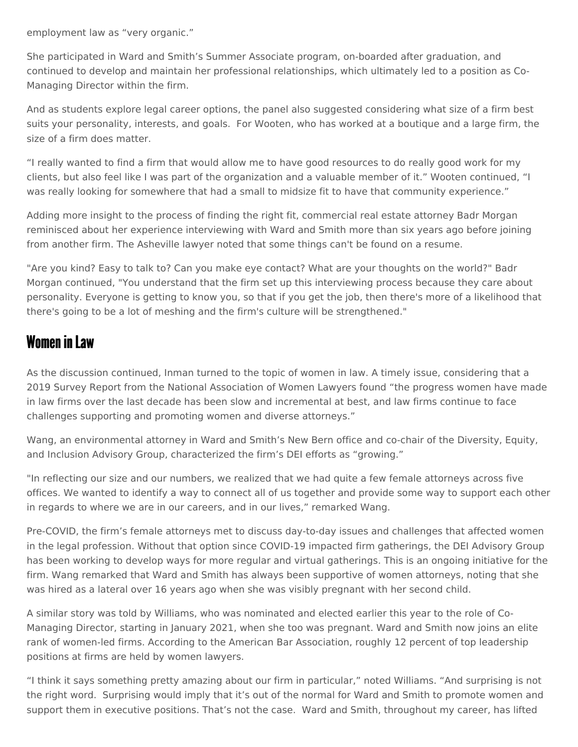employment law as "very organic."

She participated in Ward and Smith's Summer Associate program, on-boarded after graduation, and continued to develop and maintain her professional relationships, which ultimately led to a position as Co-Managing Director within the firm.

And as students explore legal career options, the panel also suggested considering what size of a firm best suits your personality, interests, and goals. For Wooten, who has worked at a boutique and a large firm, the size of a firm does matter.

"I really wanted to find a firm that would allow me to have good resources to do really good work for my clients, but also feel like I was part of the organization and a valuable member of it." Wooten continued, "I was really looking for somewhere that had a small to midsize fit to have that community experience."

Adding more insight to the process of finding the right fit, commercial real estate attorney Badr Morgan reminisced about her experience interviewing with Ward and Smith more than six years ago before joining from another firm. The Asheville lawyer noted that some things can't be found on a resume.

"Are you kind? Easy to talk to? Can you make eye contact? What are your thoughts on the world?" Badr Morgan continued, "You understand that the firm set up this interviewing process because they care about personality. Everyone is getting to know you, so that if you get the job, then there's more of a likelihood that there's going to be a lot of meshing and the firm's culture will be strengthened."

#### **Women in Law**

As the discussion continued, Inman turned to the topic of women in law. A timely issue, considering that a 2019 [Survey](https://www.nawl.org/page/2018survey) Report from the National Association of Women Lawyers found "the progress women have made in law firms over the last decade has been slow and incremental at best, and law firms continue to face challenges supporting and promoting women and diverse attorneys."

Wang, an environmental attorney in Ward and Smith's New Bern office and co-chair of the Diversity, Equity, and Inclusion Advisory Group, characterized the firm's DEI efforts as "growing."

"In reflecting our size and our numbers, we realized that we had quite a few female attorneys across five offices. We wanted to identify a way to connect all of us together and provide some way to support each other in regards to where we are in our careers, and in our lives," remarked Wang.

Pre-COVID, the firm's female attorneys met to discuss day-to-day issues and challenges that affected women in the legal profession. Without that option since COVID-19 impacted firm gatherings, the DEI Advisory Group has been working to develop ways for more regular and virtual gatherings. This is an ongoing initiative for the firm. Wang remarked that Ward and Smith has always been supportive of women attorneys, noting that she was hired as a lateral over 16 years ago when she was visibly pregnant with her second child.

A similar story was told by Williams, who was nominated and elected earlier this year to the role of Co-Managing Director, starting in January 2021, when she too was pregnant. Ward and Smith now joins an elite rank of women-led firms. According to the American Bar [Association,](https://www.americanbar.org/groups/litigation/committees/diversity-inclusion/articles/2019/spring2019-advice-for-women-lawyers-path-to-partnership/#:~:text=According to recent reports%2C women,are held by women lawyers.) roughly 12 percent of top leadership positions at firms are held by women lawyers.

"I think it says something pretty amazing about our firm in particular," noted Williams. "And surprising is not the right word. Surprising would imply that it's out of the normal for Ward and Smith to promote women and support them in executive positions. That's not the case. Ward and Smith, throughout my career, has lifted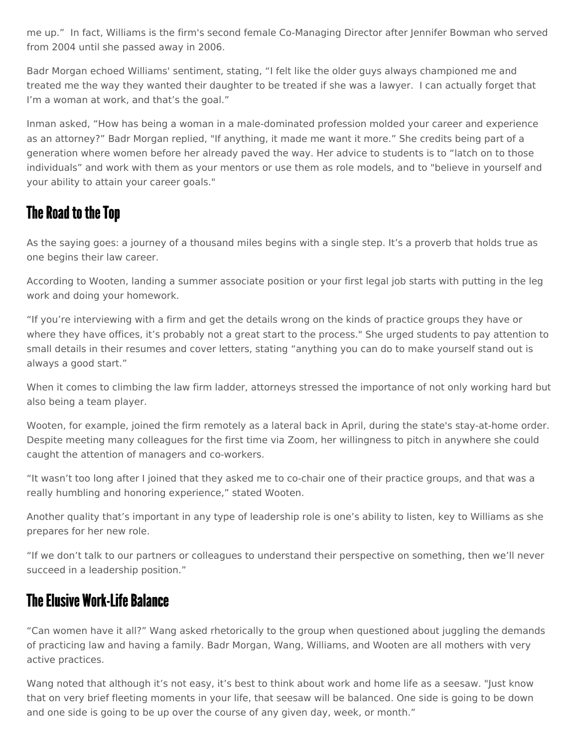me up." In fact, Williams is the firm's second female Co-Managing Director after Jennifer Bowman who served from 2004 until she passed away in 2006.

Badr Morgan echoed Williams' sentiment, stating, "I felt like the older guys always championed me and treated me the way they wanted their daughter to be treated if she was a lawyer. I can actually forget that I'm a woman at work, and that's the goal."

Inman asked, "How has being a woman in a male-dominated profession molded your career and experience as an attorney?" Badr Morgan replied, "If anything, it made me want it more." She credits being part of a generation where women before her already paved the way. Her advice to students is to "latch on to those individuals" and work with them as your mentors or use them as role models, and to "believe in yourself and your ability to attain your career goals."

### The Road to the Top

As the saying goes: a journey of a thousand miles begins with a single step. It's a proverb that holds true as one begins their law career.

According to Wooten, landing a summer associate position or your first legal job starts with putting in the leg work and doing your homework.

"If you're interviewing with a firm and get the details wrong on the kinds of practice groups they have or where they have offices, it's probably not a great start to the process." She urged students to pay attention to small details in their resumes and cover letters, stating "anything you can do to make yourself stand out is always a good start."

When it comes to climbing the law firm ladder, attorneys stressed the importance of not only working hard but also being a team player.

Wooten, for example, joined the firm remotely as a lateral back in April, during the state's stay-at-home order. Despite meeting many colleagues for the first time via Zoom, her willingness to pitch in anywhere she could caught the attention of managers and co-workers.

"It wasn't too long after I joined that they asked me to co-chair one of their practice groups, and that was a really humbling and honoring experience," stated Wooten.

Another quality that's important in any type of leadership role is one's ability to listen, key to Williams as she prepares for her new role.

"If we don't talk to our partners or colleagues to understand their perspective on something, then we'll never succeed in a leadership position."

#### **The Elusive Work-Life Balance**

"Can women have it all?" Wang asked rhetorically to the group when questioned about juggling the demands of practicing law and having a family. Badr Morgan, Wang, Williams, and Wooten are all mothers with very active practices.

Wang noted that although it's not easy, it's best to think about work and home life as a seesaw. "Just know that on very brief fleeting moments in your life, that seesaw will be balanced. One side is going to be down and one side is going to be up over the course of any given day, week, or month."